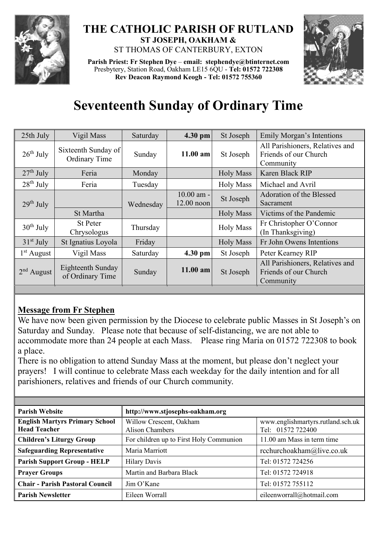

## **THE CATHOLIC PARISH OF RUTLAND ST JOSEPH, OAKHAM &**  ST THOMAS OF CANTERBURY, EXTON

**Parish Priest: Fr Stephen Dye** – **[email: stephendye@btinternet.com](mailto:email:%20%20stephendye@btinternet.com)** Presbytery, Station Road, Oakham LE15 6QU - **Tel: 01572 722308 Rev Deacon Raymond Keogh - Tel: 01572 755360**



# **Seventeenth Sunday of Ordinary Time**

| 25th July    | Vigil Mass                            | Saturday  | 4.30 pm                      | St Joseph        | Emily Morgan's Intentions                                             |
|--------------|---------------------------------------|-----------|------------------------------|------------------|-----------------------------------------------------------------------|
| $26th$ July  | Sixteenth Sunday of<br>Ordinary Time  | Sunday    | $11.00$ am                   | St Joseph        | All Parishioners, Relatives and<br>Friends of our Church<br>Community |
| $27th$ July  | Feria                                 | Monday    |                              | <b>Holy Mass</b> | Karen Black RIP                                                       |
| $28th$ July  | Feria                                 | Tuesday   |                              | <b>Holy Mass</b> | Michael and Avril                                                     |
| $29th$ July  |                                       | Wednesday | $10.00$ am -<br>$12.00$ noon | St Joseph        | Adoration of the Blessed<br>Sacrament                                 |
|              | St Martha                             |           |                              | <b>Holy Mass</b> | Victims of the Pandemic                                               |
| $30th$ July  | <b>St Peter</b><br>Chrysologus        | Thursday  |                              | <b>Holy Mass</b> | Fr Christopher O'Connor<br>(In Thanksgiving)                          |
| $31st$ July  | St Ignatius Loyola                    | Friday    |                              | <b>Holy Mass</b> | Fr John Owens Intentions                                              |
| $1st$ August | Vigil Mass                            | Saturday  | 4.30 pm                      | St Joseph        | Peter Kearney RIP                                                     |
| $2nd$ August | Eighteenth Sunday<br>of Ordinary Time | Sunday    | $11.00$ am                   | St Joseph        | All Parishioners, Relatives and<br>Friends of our Church<br>Community |

## **Message from Fr Stephen**

We have now been given permission by the Diocese to celebrate public Masses in St Joseph's on Saturday and Sunday. Please note that because of self-distancing, we are not able to accommodate more than 24 people at each Mass. Please ring Maria on 01572 722308 to book a place.

There is no obligation to attend Sunday Mass at the moment, but please don't neglect your prayers! I will continue to celebrate Mass each weekday for the daily intention and for all parishioners, relatives and friends of our Church community.

| <b>Parish Website</b>                                        | http://www.stjosephs-oakham.org                   |                                                        |  |  |
|--------------------------------------------------------------|---------------------------------------------------|--------------------------------------------------------|--|--|
| <b>English Martyrs Primary School</b><br><b>Head Teacher</b> | Willow Crescent, Oakham<br><b>Alison Chambers</b> | www.englishmartyrs.rutland.sch.uk<br>Tel: 01572 722400 |  |  |
| <b>Children's Liturgy Group</b>                              | For children up to First Holy Communion           | 11.00 am Mass in term time                             |  |  |
| <b>Safeguarding Representative</b>                           | Maria Marriott                                    | rcchurchoakham@live.co.uk                              |  |  |
| <b>Parish Support Group - HELP</b>                           | <b>Hilary Davis</b>                               | Tel: 01572 724256                                      |  |  |
| <b>Prayer Groups</b>                                         | Martin and Barbara Black                          | Tel: 01572 724918                                      |  |  |
| <b>Chair - Parish Pastoral Council</b>                       | Jim O'Kane                                        | Tel: 01572 755112                                      |  |  |
| <b>Parish Newsletter</b>                                     | Eileen Worrall                                    | eileenworrall@hotmail.com                              |  |  |